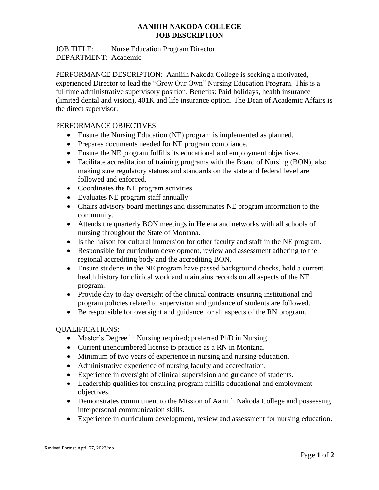# **AANIIIH NAKODA COLLEGE JOB DESCRIPTION**

# JOB TITLE: Nurse Education Program Director DEPARTMENT: Academic

PERFORMANCE DESCRIPTION: Aaniiih Nakoda College is seeking a motivated, experienced Director to lead the "Grow Our Own" Nursing Education Program. This is a fulltime administrative supervisory position. Benefits: Paid holidays, health insurance (limited dental and vision), 401K and life insurance option. The Dean of Academic Affairs is the direct supervisor.

# PERFORMANCE OBJECTIVES:

- Ensure the Nursing Education (NE) program is implemented as planned.
- Prepares documents needed for NE program compliance.
- Ensure the NE program fulfills its educational and employment objectives.
- Facilitate accreditation of training programs with the Board of Nursing (BON), also making sure regulatory statues and standards on the state and federal level are followed and enforced.
- Coordinates the NE program activities.
- Evaluates NE program staff annually.
- Chairs advisory board meetings and disseminates NE program information to the community.
- Attends the quarterly BON meetings in Helena and networks with all schools of nursing throughout the State of Montana.
- Is the liaison for cultural immersion for other faculty and staff in the NE program.
- Responsible for curriculum development, review and assessment adhering to the regional accrediting body and the accrediting BON.
- Ensure students in the NE program have passed background checks, hold a current health history for clinical work and maintains records on all aspects of the NE program.
- Provide day to day oversight of the clinical contracts ensuring institutional and program policies related to supervision and guidance of students are followed.
- Be responsible for oversight and guidance for all aspects of the RN program.

# QUALIFICATIONS:

- Master's Degree in Nursing required; preferred PhD in Nursing.
- Current unencumbered license to practice as a RN in Montana.
- Minimum of two years of experience in nursing and nursing education.
- Administrative experience of nursing faculty and accreditation.
- Experience in oversight of clinical supervision and guidance of students.
- Leadership qualities for ensuring program fulfills educational and employment objectives.
- Demonstrates commitment to the Mission of Aaniiih Nakoda College and possessing interpersonal communication skills.
- Experience in curriculum development, review and assessment for nursing education.